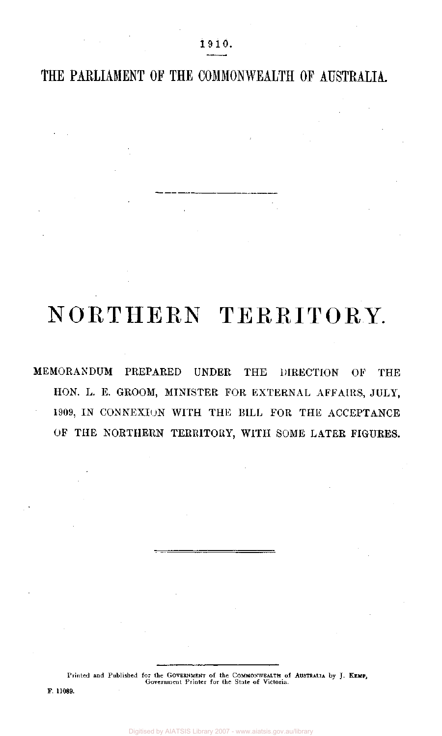THE PARLIAMENT OF THE COMMONWEALTH OF AUSTRALIA.

## NORTHERN TERRITORY.

MEMORANDUM PREPARED UNDER THE DIRECTION OF THE HON. L. E. GROOM, MINISTER FOR EXTERNAL AFFAIRS, JULY, 1909, IN CONNEXION WITH THE BILL FOR THE ACCEPTANCE OF THE NORTHERN TERRITORY, WITH SOME LATER FIGURES.

Printed and Published for the GOVERNMENT of the COMMONWEALTH of AUSTRALIA by J. KEMP,<br>Government Printer for the State of Victoria.

F. 11089.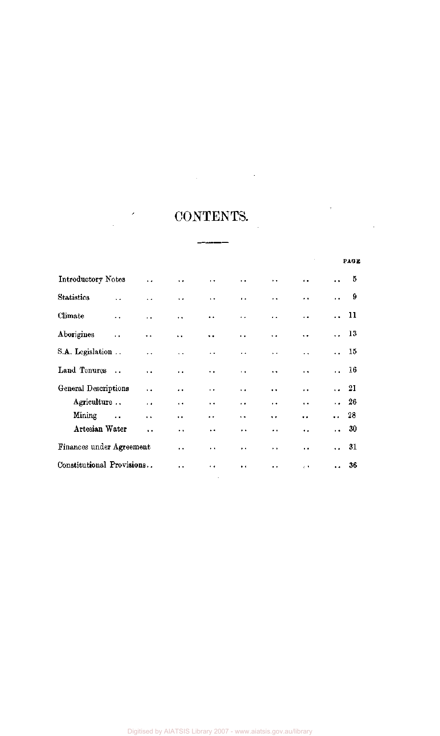# CONTENTS.

 $\begin{tabular}{ll} \multicolumn{2}{c} {\textbf{2.5}} & \multicolumn{2}{c} {\textbf{2.5}} & \multicolumn{2}{c} {\textbf{2.5}} & \multicolumn{2}{c} {\textbf{2.5}} & \multicolumn{2}{c} {\textbf{2.5}} & \multicolumn{2}{c} {\textbf{2.5}} & \multicolumn{2}{c} {\textbf{2.5}} & \multicolumn{2}{c} {\textbf{2.5}} & \multicolumn{2}{c} {\textbf{2.5}} & \multicolumn{2}{c} {\textbf{2.5}} & \multicolumn{2}{c} {\textbf{2.5}} & \multicolumn{2}{c} {\textbf{2$ 

 $\mathcal{L}^{\text{max}}_{\text{max}}$ 

|                           |                      |                      |                      |                      |                      |                      |                      |                      | PAGE |
|---------------------------|----------------------|----------------------|----------------------|----------------------|----------------------|----------------------|----------------------|----------------------|------|
| Introductory Notes        |                      | $\ddot{\phantom{a}}$ | $\ddot{\phantom{0}}$ | $\ddot{\phantom{1}}$ | . .                  | ٠.                   | . .                  | $\ddot{\phantom{a}}$ | 5    |
| <b>Statistics</b>         | $\ddot{\phantom{a}}$ | . .                  | $\ddot{\phantom{0}}$ | $\ddot{\phantom{0}}$ | $\ddot{\phantom{1}}$ | $\ddot{\phantom{0}}$ | ٠.                   | $\ddot{\phantom{0}}$ | 9    |
| Climate                   | . .                  | μ.                   | $\ddot{\phantom{a}}$ | $\ddot{\phantom{0}}$ | ٠.                   | $\ddot{\phantom{a}}$ |                      |                      | 11   |
| Aborigines                | $\ddot{\phantom{0}}$ | $\ddot{\phantom{0}}$ | $\ddot{\phantom{0}}$ | $\ddot{\phantom{0}}$ | 44                   | . .                  | $\ddot{\phantom{0}}$ | $\ddot{\phantom{a}}$ | - 13 |
| S.A. Legislation          |                      | $\ddot{\phantom{0}}$ | $\ddot{\phantom{a}}$ | $\ddot{\phantom{0}}$ | $\ddot{\phantom{0}}$ | $\ddot{\phantom{1}}$ | . .                  | $\ddot{\phantom{a}}$ | 15   |
| Land Tenures              | $\sim$               | . .                  | $\ddot{\phantom{0}}$ | $\ddot{\phantom{0}}$ | $\ddot{\phantom{0}}$ | $\ddot{\phantom{0}}$ | $\ddot{\phantom{0}}$ | $\ddot{\phantom{a}}$ | 16   |
| General Descriptions      |                      | . .                  | $\ddot{\phantom{1}}$ | $\ddot{\phantom{1}}$ | $\ddot{\phantom{0}}$ | $\ddot{\phantom{1}}$ | $\ddot{\phantom{0}}$ | $\ddot{\phantom{0}}$ | 21   |
| Agriculture               |                      | $\cdot$ $\cdot$      | $\ddot{\phantom{1}}$ | $\ddot{\phantom{1}}$ | $\ddot{\phantom{1}}$ | $\ddot{\phantom{1}}$ | $\ddot{\phantom{a}}$ | $\ddot{\phantom{0}}$ | 26   |
| Mining                    | $\ddot{\phantom{a}}$ | . .                  | $\ddot{\phantom{1}}$ | $\ddot{\phantom{1}}$ | $\ddot{\phantom{a}}$ | $\ddot{\phantom{1}}$ | .,                   | $\ddot{\phantom{a}}$ | 28   |
| Artesian Water            |                      | $\ddot{\phantom{0}}$ | ۰.                   | $\ddot{\phantom{1}}$ | $\ddot{\phantom{1}}$ | . .                  | ٠.                   | $\ddot{\phantom{0}}$ | 30   |
| Finances under Agreement  |                      |                      | $\ddot{\phantom{1}}$ | $\ddot{\phantom{1}}$ | $\ddot{\phantom{0}}$ | $\ddot{\phantom{1}}$ | $\ddot{\phantom{1}}$ |                      | 31   |
| Constitutional Provisions |                      |                      | $\ddot{\phantom{a}}$ | . .                  | $\ddot{\phantom{0}}$ |                      | $\epsilon$           | $\ddot{\phantom{a}}$ | 36   |
|                           |                      |                      |                      |                      |                      |                      |                      |                      |      |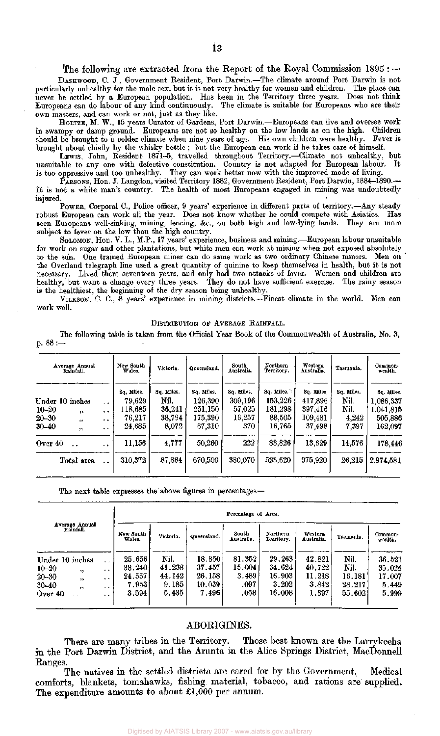#### The following are extracted from the Report of the Royal Commission 1895 : —

DASHWOOD, C. J., Government Resident, Port Darwin.—The climate around Port Darwin is not particularly unhealthy for the male sex, but it is not very healthy for women and children. The place can never be settled by a European population. Has been in the Territory three years. Does not think Europeans can do labour of any kind continuously. The climate is suitable for Europeans who are their own masters, and can work or not, just as they like.

HOLTZE, M. W., 15 years Curator of Gardens, Port Darwin.—Europeans can live and oversee work in swampy or damp ground. Europeans are not so healthy on the low lands as on the high. Children should be brought to a colder climate when nine years of age. His own children were healthy. Fever is brought about chiefly by the whisky bottle ; but the European can work if he takes care of himself.

LEWIS, John, Resident 1871-5, travelled throughout Territory.—Climate not unhealthy, but unsuitable to any one with defective constitution. Country is not adapted for European labour. It is too oppressive and too unhealthy. They can work better now with the improved mode of living.

PARSONS, Hon. J. Langdon, visited Territory 1882, Government Resident, Port Darwin, 1884-1890.— It is not a white man's country. The health of most Europeans engaged in mining was undoubtedly injured.

POWER, Corporal C, Police officer, 9 years' experience in different parts of territory.—Any steady robust European can work all the year. Does not know whether he could compete with Asiatics. Has seen Europeans well-sinking, mining, fencing, &c, on both high and low-lying lands. They are more subject to fever on the low than the high country.

SOLOMON, Hon. V. L., M.P., 17 years' experience, business and mining.—European labour unsuitable for work on sugar and other plantations, but white men can work at mining when not exposed absolutely to the sun. One trained European miner can do same work as two ordinary Chinese miners. Men on the Overland telegraph line used a great quantity of quinine to keep themselves in health, but it is not necessary. Lived there seventeen years, and only had two attacks of fever. Women and children are healthy, but want a change every three years. They do not have sufficient exercise. The rainy season is the healthiest, the beginning of the dry season being unhealthy.

VILKSON, C. C, 8 years' experience in mining districts.—Finest climate in the world. Men can work well.

DISTRIBUTION OF AVERAGE RAINFALL.

The following table is taken from the Official Year Book of the Commonwealth of Australia, No. 3, p. 88 :—

| Average Annual<br>Raintall.                                                                          |                                                                 | New South<br>Wales.                                 | Victoria.                                       | Queensland.                                           | South<br>Australia.                              | Northern<br>Territory.                               | Western<br>Australia.                                | Tasmania.                                    | Common-<br>wealth.                                         |
|------------------------------------------------------------------------------------------------------|-----------------------------------------------------------------|-----------------------------------------------------|-------------------------------------------------|-------------------------------------------------------|--------------------------------------------------|------------------------------------------------------|------------------------------------------------------|----------------------------------------------|------------------------------------------------------------|
| Under 10 inches<br>$10 - 20$<br>$\overline{\mathbf{12}}$<br>$20 - 30$<br>$\overline{1}$<br>$30 - 40$ | $\ddot{\phantom{0}}$<br>$\cdot$ $\cdot$<br>$\ddot{\phantom{1}}$ | Sq, Miles.<br>79,629<br>118,685<br>76,217<br>24,685 | Sq. Miles.<br>Nil.<br>36,241<br>38.794<br>8,072 | Sq. Miles.<br>126,390<br>251,150<br>175,390<br>67,310 | Sq. Miles.<br>309,196<br>57,025<br>13,257<br>370 | Sq. Miles.<br>153,226<br>181,298<br>88,505<br>16,765 | Sq. Miles<br>417,896<br>397,416<br>109.481<br>37,498 | Sq. Miles.<br>Nil.<br>Nil.<br>4.242<br>7.397 | Sq. Miles,<br>1,086,337<br>1,041,815<br>505,886<br>162,097 |
| 55<br>Over 40<br>$\ddot{\phantom{0}}$<br>Total area                                                  | $\bullet$<br>$\cdot$ $\cdot$<br>$\ddot{\phantom{0}}$            | 11,156<br>310,372                                   | 4,777<br>87,884                                 | 50.260<br>670.500                                     | 222<br>380,070                                   | 83,826<br>523,620                                    | 13.629<br>975.920                                    | 14,576<br>26.215                             | 178,446<br>2,974,581                                       |

The next table expresses the above figures in percentages—

|                                                                                                                                                                                               | Percentage of Area.                           |                                            |                                               |                                           |                                               |                                              |                                            |                                              |  |
|-----------------------------------------------------------------------------------------------------------------------------------------------------------------------------------------------|-----------------------------------------------|--------------------------------------------|-----------------------------------------------|-------------------------------------------|-----------------------------------------------|----------------------------------------------|--------------------------------------------|----------------------------------------------|--|
| Average Annual<br>Rainfall.                                                                                                                                                                   | New South<br>Wales.                           | Victoria.                                  | Queensland.                                   | South<br>Australia.                       | Northern<br>Torritory.                        | Western<br>Australia.                        | Tasmania.                                  | Common-<br>wealth.                           |  |
| Under 10 inches<br>$\ddot{\phantom{1}}$<br>$10 - 20$<br>$\cdot$<br>, ,<br>$20 - 30$<br>,<br>$\bullet$<br>$30 - 40$<br>, ,<br>$\ddot{\phantom{0}}$<br>Over $40$<br>$\ddot{\phantom{0}}$<br>. . | 25.656<br>38.240<br>24.557<br>7.9531<br>3.594 | Nil.<br>41.238<br>44.142<br>9.185<br>5.435 | 18.850<br>37.457<br>26.158<br>10.039<br>7.496 | 81.352<br>15.004<br>3.489<br>.097<br>.058 | 29.263<br>34.624<br>16.903<br>3.202<br>16.008 | 42.821<br>40.722<br>11.218<br>3.842<br>1.397 | Nil.<br>Nil.<br>16.181<br>28.217<br>55.602 | 36.521<br>35.024<br>17.007<br>5.449<br>5.999 |  |

### ABORIGINES.

There are many tribes in the Territory. Those best known are the Larrykeeha in the Port Darwin District, and the Arunta in the Alice Springs District, MacDonnell Ranges.

The natives in the settled districts are cared for by the Government. Medical comforts, blankets, tomahawks, fishing material, tobacco, and rations are supplied. The expenditure amounts to about £1,000 per annum.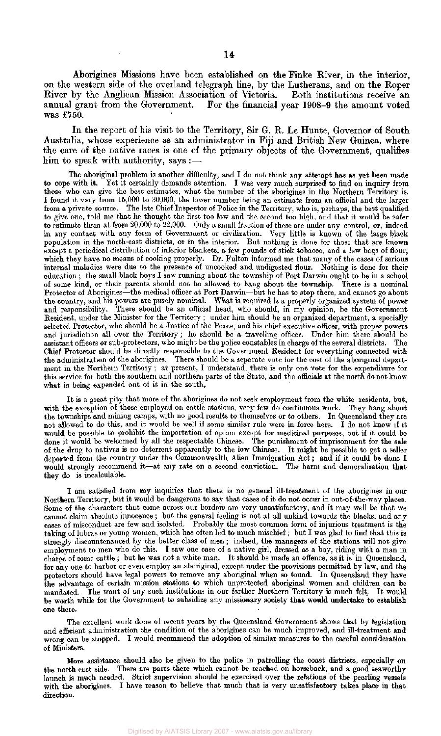Aborigines Missions have been established on the Finke River, in the interior, on the western side of the overland telegraph line, by the Lutherans, and on the Roper River by the Anglican Mission Association of Victoria. Both institutions receive an annual grant from the Government. For the financial year 1908-9 the amount voted was £750.

In the report of his visit to the Territory, Sir G. R. Le Hunte, Governor of South Australia, whose experience as an administrator in Fiji and British New Guinea, where the care of the native races is one of the primary objects of the Government, qualifies him to speak with authority, says :—

The aboriginal problem is another difficulty, and I do not think any attempt has as yet been made<br>to cope with it. Yet it certainly demands attention. I was very much surprised to find on inquiry from Yet it certainly demands attention. I was very much surprised to find on inquiry from those who can give the best estimates, what the number of the aborigines in the Northern Territory is. I found it vary from 15,000 to 30,000, the lower number being an estimate from an official and the larger from a private source. The late Chief Inspector of Police in the Territory, who is, perhaps, the best qualified to give one, told me that he thought the first too low and the second too high, and that it would be safer to estimate them at from 20,000 to 22,000. Only a small fraction of these are under any control, or, indeed in any contact with any form of Government or civilization. Very little is known of the large black population in the north-east districts, or in the interior. But nothing is done for those that are known except a periodical distribution of inferior blankets, a few pounds of stick tobacco, and a few bags of flour, which they have no means of cooking properly. Dr. Fulton informed me that many of the cases of serious internal maladies were due to the presence of uncooked and undigested flour. Nothing is done for their education ; the small black boys I saw running about the township of Port Darwin ought to be in a school of some kind, or their **parents should not** be allowed to hang about the township. There is a **nominal**  Protector of Aborigines—the medical officer at Port Darwin—but he has to stop there, and cannot go about the country, and his powers are purely nominal. What is required is a properly organized system of power and responsibility. There should be an official head, who should, in my opinion, be the Government Resident, under the Minister for the Territory ; under him should be an organized department, a specially selected Protector, who should be a Justice of the Peace, and his chief executive officer, with proper powers and jurisdiction all over the Territory ; he should be a travelling officer. Under him there should be assistant officers or sub-protectors, who might be the police constables in charge of the several districts. The Chief Protector should be directly responsible to the Government Resident for everything connected with the administration of the aborigines. There should be a separate vote for the cost of the aboriginal department in the Northern Territory ; at present, I understand, there is only one vote for the expenditure for this service for both the southern and northern parts of the State, and the officials at the north do not know what is being expended out of it in the south.

It is a great pity that more of the aborigines do not seek employment from the white residents, but, with the exception of those employed on cattle stations, very few do continuous work. They hang about the townships and mining camps, with no good results to themselves or to others. In Queensland they are not allowed to do this, and it would be well if some similar rule were in force here. I do not know if it would be possible to prohibit the importation of opium except for medicinal purposes, but if it could be done it would be welcomed by all the respectable Chinese. The punishment of imprisonment for the sale of the drug to natives is no deterrent apparently to the low Chinese. It might be possible to get a seller deported from the country under the Commonwealth Alien Immigration Act; and if it could be done I would strongly recommend it—at any rate on a second conviction. The harm and demoralisation that they do is incalculable.

I am satisfied from my inquiries that there is no general ill-treatment of the aborigines in our **Northern Territory, but it would** be dangerous to say that cases of it do not occur **in out-of-the-way places.**  Some of the characters that come across our borders are very unsatisfactory, and it may well be that we cannot claim absolute innocence ; but the general feeling is not at all unkind towards the blacks, and any cases of misconduct are few and isolated. Probably the most common form of injurious treatment is the taking of lubras or young women, which has often led to much mischief ; but I was glad to find that this is strongly discountenanced by the better class of men ; indeed, the managers of the stations will not give employment to men who do this. I saw one case of a native girl, dressed as a boy, riding with a man in charge of some cattle ; but he was not a white man. It should be made an offence, as it is in Queensland, for any one to harbor or even employ an aboriginal, except under the provisions permitted by law, and the protectors should have legal powers to remove any aboriginal when so found. In Queensland they have the advantage of certain mission stations to which unprotected aboriginal women and children can be mandated. The want of any such institutions in our farther Northern Territory is much felt. It would be worth while for the Government to subsidize any missionary society that would undertake to establish one there.

The excellent work done of recent years by the Queensland Government shows that by legislation and efficient administration the condition of the aborigines can be much improved, and ill-treatment and wrong can be stopped. I would recommend the adoption of similar measures to the careful consideration of Ministers.

More assistance should also be given to the police in patrolling the coast districts, especially on the north-east side. There are parts there which cannot be reached on horseback, and a good seaworthy launch is much needed. Strict supervision should be exercised over the relations of the pearling vessels with the aborigines. I have reason to believe that much that is very unsatisfactory takes place in **that direction.**